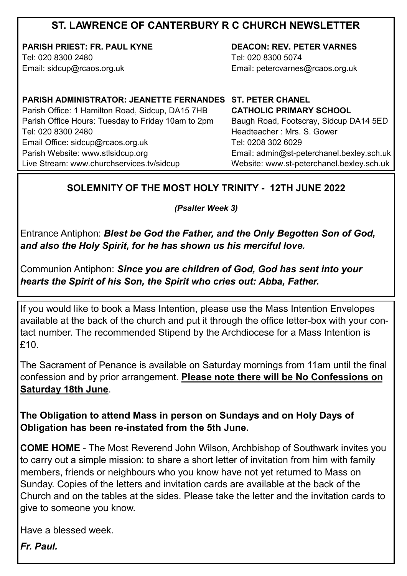# **ST. LAWRENCE OF CANTERBURY R C CHURCH NEWSLETTER**

**PARISH PRIEST: FR. PAUL KYNE** Tel: 020 8300 2480 Email: sidcup@rcaos.org.uk

**DEACON: REV. PETER VARNES**  Tel: 020 8300 5074 Email: petercvarnes@rcaos.org.uk

**PARISH ADMINISTRATOR: JEANETTE FERNANDES ST. PETER CHANEL** Parish Office: 1 Hamilton Road, Sidcup, DA15 7HB Parish Office Hours: Tuesday to Friday 10am to 2pm Tel: 020 8300 2480 Email Office: sidcup@rcaos.org.uk Parish Website: www.stlsidcup.org Live Stream: www.churchservices.tv/sidcup

**CATHOLIC PRIMARY SCHOOL**  Baugh Road, Footscray, Sidcup DA14 5ED Headteacher : Mrs. S. Gower Tel: 0208 302 6029 Email: admin@st-peterchanel.bexley.sch.uk Website: www.st-peterchanel.bexley.sch.uk

### **SOLEMNITY OF THE MOST HOLY TRINITY - 12TH JUNE 2022**

*(Psalter Week 3)*

Entrance Antiphon: *Blest be God the Father, and the Only Begotten Son of God, and also the Holy Spirit, for he has shown us his merciful love.*

Communion Antiphon: *Since you are children of God, God has sent into your hearts the Spirit of his Son, the Spirit who cries out: Abba, Father.*

If you would like to book a Mass Intention, please use the Mass Intention Envelopes available at the back of the church and put it through the office letter-box with your contact number. The recommended Stipend by the Archdiocese for a Mass Intention is £10.

The Sacrament of Penance is available on Saturday mornings from 11am until the final confession and by prior arrangement. **Please note there will be No Confessions on Saturday 18th June**.

**The Obligation to attend Mass in person on Sundays and on Holy Days of Obligation has been re-instated from the 5th June.** 

**COME HOME** - The Most Reverend John Wilson, Archbishop of Southwark invites you to carry out a simple mission: to share a short letter of invitation from him with family members, friends or neighbours who you know have not yet returned to Mass on Sunday. Copies of the letters and invitation cards are available at the back of the Church and on the tables at the sides. Please take the letter and the invitation cards to give to someone you know.

Have a blessed week.

*Fr. Paul.*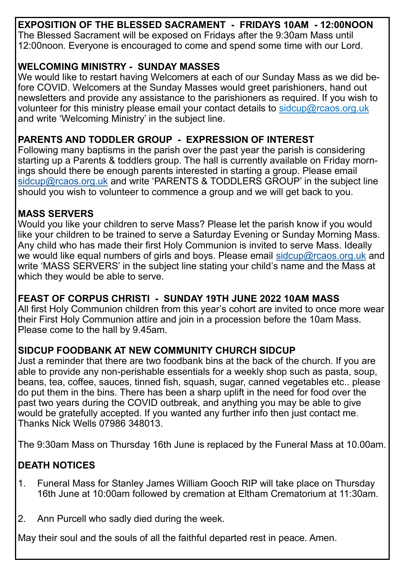**EXPOSITION OF THE BLESSED SACRAMENT - FRIDAYS 10AM - 12:00NOON** The Blessed Sacrament will be exposed on Fridays after the 9:30am Mass until 12:00noon. Everyone is encouraged to come and spend some time with our Lord.

#### **WELCOMING MINISTRY - SUNDAY MASSES**

We would like to restart having Welcomers at each of our Sunday Mass as we did before COVID. Welcomers at the Sunday Masses would greet parishioners, hand out newsletters and provide any assistance to the parishioners as required. If you wish to volunteer for this ministry please email your contact details to sidcup@rcaos.org.uk and write 'Welcoming Ministry' in the subject line.

### **PARENTS AND TODDLER GROUP - EXPRESSION OF INTEREST**

Following many baptisms in the parish over the past year the parish is considering starting up a Parents & toddlers group. The hall is currently available on Friday mornings should there be enough parents interested in starting a group. Please email [sidcup@rcaos.org.uk](mailto:sidcup@rcaos.org.uk) and write 'PARENTS & TODDLERS GROUP' in the subject line should you wish to volunteer to commence a group and we will get back to you.

#### **MASS SERVERS**

Would you like your children to serve Mass? Please let the parish know if you would like your children to be trained to serve a Saturday Evening or Sunday Morning Mass. Any child who has made their first Holy Communion is invited to serve Mass. Ideally we would like equal numbers of girls and boys. Please email [sidcup@rcaos.org.uk](mailto:sidcup@rcaos.org.uk) and write 'MASS SERVERS' in the subject line stating your child's name and the Mass at which they would be able to serve.

#### **FEAST OF CORPUS CHRISTI - SUNDAY 19TH JUNE 2022 10AM MASS**

All first Holy Communion children from this year's cohort are invited to once more wear their First Holy Communion attire and join in a procession before the 10am Mass. Please come to the hall by 9.45am.

## **SIDCUP FOODBANK AT NEW COMMUNITY CHURCH SIDCUP**

Just a reminder that there are two foodbank bins at the back of the church. If you are able to provide any non-perishable essentials for a weekly shop such as pasta, soup, beans, tea, coffee, sauces, tinned fish, squash, sugar, canned vegetables etc.. please do put them in the bins. There has been a sharp uplift in the need for food over the past two years during the COVID outbreak, and anything you may be able to give would be gratefully accepted. If you wanted any further info then just contact me. Thanks Nick Wells 07986 348013.

The 9:30am Mass on Thursday 16th June is replaced by the Funeral Mass at 10.00am.

# **DEATH NOTICES**

- 1. Funeral Mass for Stanley James William Gooch RIP will take place on Thursday 16th June at 10:00am followed by cremation at Eltham Crematorium at 11:30am.
- 2. Ann Purcell who sadly died during the week.

May their soul and the souls of all the faithful departed rest in peace. Amen.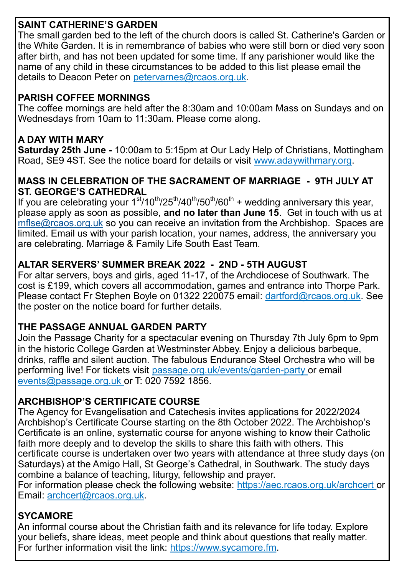## **SAINT CATHERINE'S GARDEN**

The small garden bed to the left of the church doors is called St. Catherine's Garden or the White Garden. It is in remembrance of babies who were still born or died very soon after birth, and has not been updated for some time. If any parishioner would like the name of any child in these circumstances to be added to this list please email the details to Deacon Peter on petervarnes@rcaos.org.uk.

### **PARISH COFFEE MORNINGS**

The coffee mornings are held after the 8:30am and 10:00am Mass on Sundays and on Wednesdays from 10am to 11:30am. Please come along.

### **A DAY WITH MARY**

**Saturday 25th June -** 10:00am to 5:15pm at Our Lady Help of Christians, Mottingham Road, SE9 4ST. See the notice board for details or visit www.adaywithmary.org.

#### **MASS IN CELEBRATION OF THE SACRAMENT OF MARRIAGE - 9TH JULY AT ST. GEORGE'S CATHEDRAL**

If you are celebrating your  $1<sup>st</sup>/10<sup>th</sup>/25<sup>th</sup>/40<sup>th</sup>/60<sup>th</sup> +$  wedding anniversary this year, please apply as soon as possible, **and no later than June 15**. Get in touch with us at [mflse@rcaos.org.uk](mailto:mflse@rcaos.org.uk) so you can receive an invitation from the Archbishop. Spaces are limited. Email us with your parish location, your names, address, the anniversary you are celebrating. Marriage & Family Life South East Team.

# **ALTAR SERVERS' SUMMER BREAK 2022 - 2ND - 5TH AUGUST**

For altar servers, boys and girls, aged 11-17, of the Archdiocese of Southwark. The cost is £199, which covers all accommodation, games and entrance into Thorpe Park. Please contact Fr Stephen Boyle on 01322 220075 email: dartford@rcaos.org.uk. See the poster on the notice board for further details.

## **THE PASSAGE ANNUAL GARDEN PARTY**

[Join the Passage Charity for a spectacular evening](https://ww1.emma-live.com/passagegardenparty/?purchase_tickets) on Thursday 7th July 6pm to 9pm in the historic College Garden at Westminster Abbey. Enjoy a delicious barbeque, drinks, raffle and silent auction. The fabulous Endurance Steel Orchestra who will be performing live! For tickets visit passage.org.uk/events/garden-party or email events@passage.org.uk or T: 020 7592 1856.

## **ARCHBISHOP'S CERTIFICATE COURSE**

The Agency for Evangelisation and Catechesis invites applications for 2022/2024 Archbishop's Certificate Course starting on the 8th October 2022. The Archbishop's Certificate is an online, systematic course for anyone wishing to know their Catholic faith more deeply and to develop the skills to share this faith with others. This certificate course is undertaken over two years with attendance at three study days (on Saturdays) at the Amigo Hall, St George's Cathedral, in Southwark. The study days combine a balance of teaching, liturgy, fellowship and prayer.

For information please check the following website: https://aec.rcaos.org.uk/archcert or Email: archcert@rcaos.org.uk.

## **SYCAMORE**

An informal course about the Christian faith and its relevance for life today. Explore your beliefs, share ideas, meet people and think about questions that really matter. For further information visit the link: https://www.sycamore.fm.